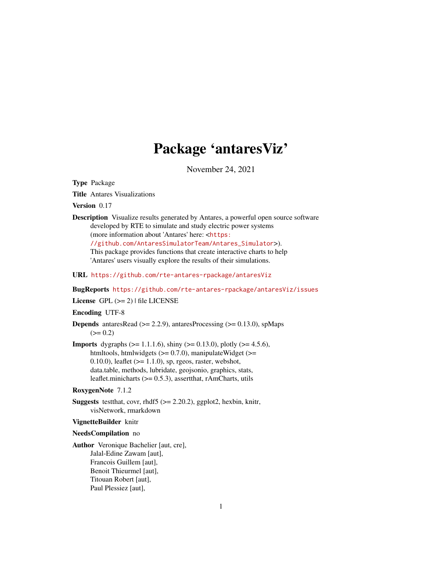# Package 'antaresViz'

November 24, 2021

<span id="page-0-0"></span>Type Package

Title Antares Visualizations

Version 0.17

Description Visualize results generated by Antares, a powerful open source software developed by RTE to simulate and study electric power systems (more information about 'Antares' here: <[https:](https://github.com/AntaresSimulatorTeam/Antares_Simulator)

[//github.com/AntaresSimulatorTeam/Antares\\_Simulator](https://github.com/AntaresSimulatorTeam/Antares_Simulator)>).

This package provides functions that create interactive charts to help 'Antares' users visually explore the results of their simulations.

URL <https://github.com/rte-antares-rpackage/antaresViz>

BugReports <https://github.com/rte-antares-rpackage/antaresViz/issues>

License GPL  $(>= 2)$  | file LICENSE

Encoding UTF-8

**Depends** antaresRead  $(>= 2.2.9)$ , antaresProcessing  $(>= 0.13.0)$ , spMaps  $(>= 0.2)$ 

**Imports** dygraphs ( $>= 1.1.1.6$ ), shiny ( $>= 0.13.0$ ), plotly ( $>= 4.5.6$ ), htmltools, htmlwidgets  $(>= 0.7.0)$ , manipulateWidget  $(>= 0.7.0)$  $(0.10.0)$ , leaflet  $(>= 1.1.0)$ , sp, rgeos, raster, webshot, data.table, methods, lubridate, geojsonio, graphics, stats, leaflet.minicharts (>= 0.5.3), assertthat, rAmCharts, utils

## RoxygenNote 7.1.2

**Suggests** test that, covr, rhdf5 ( $>= 2.20.2$ ), ggplot2, hexbin, knitr, visNetwork, rmarkdown

#### VignetteBuilder knitr

#### NeedsCompilation no

Author Veronique Bachelier [aut, cre], Jalal-Edine Zawam [aut], Francois Guillem [aut], Benoit Thieurmel [aut], Titouan Robert [aut], Paul Plessiez [aut],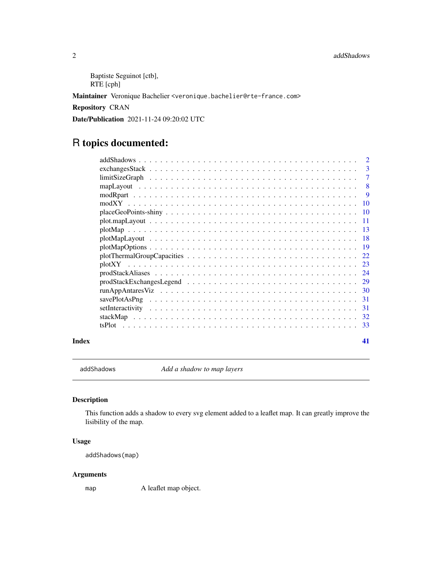```
Baptiste Seguinot [ctb],
RTE [cph]
```
Maintainer Veronique Bachelier <veronique.bachelier@rte-france.com>

Repository CRAN

Date/Publication 2021-11-24 09:20:02 UTC

## R topics documented:

|                                                                                                                 | $\mathcal{D}_{\mathcal{L}}$ |
|-----------------------------------------------------------------------------------------------------------------|-----------------------------|
|                                                                                                                 | 3                           |
|                                                                                                                 | 7                           |
|                                                                                                                 | 8                           |
|                                                                                                                 | -9                          |
| -10                                                                                                             |                             |
|                                                                                                                 |                             |
|                                                                                                                 |                             |
|                                                                                                                 |                             |
| $plotMapLayout \dots \dots \dots \dots \dots \dots \dots \dots \dots \dots \dots \dots \dots \dots \dots \dots$ |                             |
|                                                                                                                 |                             |
|                                                                                                                 |                             |
|                                                                                                                 |                             |
|                                                                                                                 |                             |
|                                                                                                                 |                             |
|                                                                                                                 |                             |
| -31                                                                                                             |                             |
| -31                                                                                                             |                             |
|                                                                                                                 |                             |
|                                                                                                                 |                             |
|                                                                                                                 |                             |

#### **Index** [41](#page-40-0)

addShadows *Add a shadow to map layers*

## Description

This function adds a shadow to every svg element added to a leaflet map. It can greatly improve the lisibility of the map.

## Usage

addShadows(map)

## Arguments

map A leaflet map object.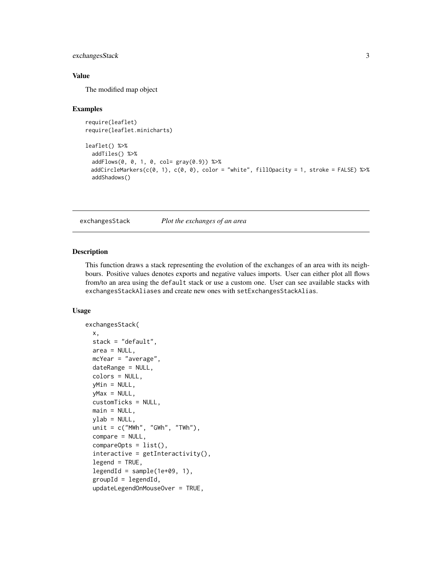## <span id="page-2-0"></span>exchangesStack 3

## Value

The modified map object

#### Examples

```
require(leaflet)
require(leaflet.minicharts)
leaflet() %>%
 addTiles() %>%
 addFlows(0, 0, 1, 0, col= gray(0.9)) %>%
 addCircleMarkers(c(0, 1), c(0, 0), color = "white", fillOpacity = 1, stroke = FALSE) %addShadows()
```
exchangesStack *Plot the exchanges of an area*

#### Description

This function draws a stack representing the evolution of the exchanges of an area with its neighbours. Positive values denotes exports and negative values imports. User can either plot all flows from/to an area using the default stack or use a custom one. User can see available stacks with exchangesStackAliases and create new ones with setExchangesStackAlias.

## Usage

```
exchangesStack(
  x,
  stack = "default",
  area = NULL,
 mcYear = "average",
  dateRange = NULL,
  colors = NULL,
 yMin = NULL,
 yMax = NULL,
  customTicks = NULL,
  main = NULL,ylab = NULL,
  unit = c("MWh", "GWh", "TWh"),compare = NULL,
  compareOpts = list(),
  interactive = getInteractivity(),legend = TRUE,legendId = sample(1e+09, 1),groupId = legendId,updateLegendOnMouseOver = TRUE,
```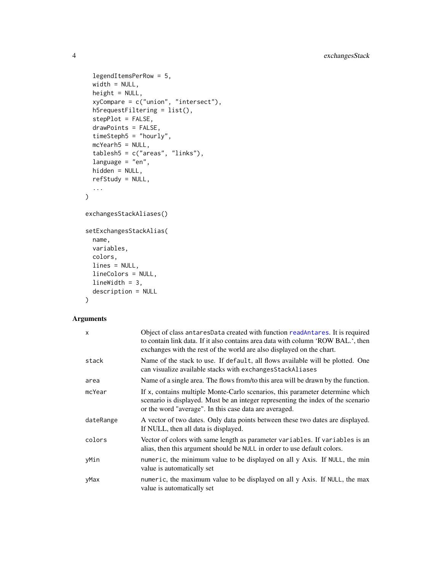```
legendItemsPerRow = 5,
width = NULL,
height = NULL,xyCompare = c("union", "intersect"),
h5requestFiltering = list(),
stepPlot = FALSE,
drawPoints = FALSE,
timeSteph5 = "hourly",
mcYearh5 = NULL,
tablesh5 = c("areas", "links"),
language = "en",hidden = NULL,
refStudy = NULL,
...
```
)

```
exchangesStackAliases()
```

```
setExchangesStackAlias(
  name,
 variables,
 colors,
 lines = NULL,
 lineColors = NULL,
 lineWidth = 3,
 description = NULL
\mathcal{L}
```
#### Arguments

| $\mathsf{x}$ | Object of class antaresData created with function readAntares. It is required<br>to contain link data. If it also contains area data with column 'ROW BAL.', then<br>exchanges with the rest of the world are also displayed on the chart. |
|--------------|--------------------------------------------------------------------------------------------------------------------------------------------------------------------------------------------------------------------------------------------|
| stack        | Name of the stack to use. If default, all flows available will be plotted. One<br>can visualize available stacks with exchanges Stack Aliases                                                                                              |
| area         | Name of a single area. The flows from/to this area will be drawn by the function.                                                                                                                                                          |
| mcYear       | If x, contains multiple Monte-Carlo scenarios, this parameter determine which<br>scenario is displayed. Must be an integer representing the index of the scenario<br>or the word "average". In this case data are averaged.                |
| dateRange    | A vector of two dates. Only data points between these two dates are displayed.<br>If NULL, then all data is displayed.                                                                                                                     |
| colors       | Vector of colors with same length as parameter variables. If variables is an<br>alias, then this argument should be NULL in order to use default colors.                                                                                   |
| yMin         | numeric, the minimum value to be displayed on all y Axis. If NULL, the min<br>value is automatically set                                                                                                                                   |
| yMax         | numeric, the maximum value to be displayed on all y Axis. If NULL, the max<br>value is automatically set                                                                                                                                   |

<span id="page-3-0"></span>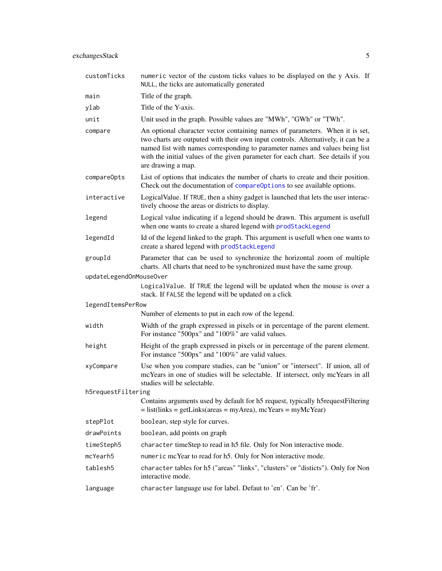<span id="page-4-0"></span>

| customTicks             | numeric vector of the custom ticks values to be displayed on the y Axis. If<br>NULL, the ticks are automatically generated                                                                                                                                                                                                                                   |
|-------------------------|--------------------------------------------------------------------------------------------------------------------------------------------------------------------------------------------------------------------------------------------------------------------------------------------------------------------------------------------------------------|
| main                    | Title of the graph.                                                                                                                                                                                                                                                                                                                                          |
| ylab                    | Title of the Y-axis.                                                                                                                                                                                                                                                                                                                                         |
| unit                    | Unit used in the graph. Possible values are "MWh", "GWh" or "TWh".                                                                                                                                                                                                                                                                                           |
| compare                 | An optional character vector containing names of parameters. When it is set,<br>two charts are outputed with their own input controls. Alternatively, it can be a<br>named list with names corresponding to parameter names and values being list<br>with the initial values of the given parameter for each chart. See details if you<br>are drawing a map. |
| compareOpts             | List of options that indicates the number of charts to create and their position.<br>Check out the documentation of compareOptions to see available options.                                                                                                                                                                                                 |
| interactive             | Logical Value. If TRUE, then a shiny gadget is launched that lets the user interac-<br>tively choose the areas or districts to display.                                                                                                                                                                                                                      |
| legend                  | Logical value indicating if a legend should be drawn. This argument is usefull<br>when one wants to create a shared legend with prodStackLegend                                                                                                                                                                                                              |
| legendId                | Id of the legend linked to the graph. This argument is usefull when one wants to<br>create a shared legend with prodStackLegend                                                                                                                                                                                                                              |
| groupId                 | Parameter that can be used to synchronize the horizontal zoom of multiple<br>charts. All charts that need to be synchronized must have the same group.                                                                                                                                                                                                       |
| updateLegendOnMouseOver |                                                                                                                                                                                                                                                                                                                                                              |
|                         | LogicalValue. If TRUE the legend will be updated when the mouse is over a<br>stack. If FALSE the legend will be updated on a click                                                                                                                                                                                                                           |
| legendItemsPerRow       |                                                                                                                                                                                                                                                                                                                                                              |
|                         | Number of elements to put in each row of the legend.                                                                                                                                                                                                                                                                                                         |
| width                   | Width of the graph expressed in pixels or in percentage of the parent element.<br>For instance "500px" and "100%" are valid values.                                                                                                                                                                                                                          |
| height                  | Height of the graph expressed in pixels or in percentage of the parent element.<br>For instance "500px" and "100%" are valid values.                                                                                                                                                                                                                         |
| xyCompare               | Use when you compare studies, can be "union" or "intersect". If union, all of<br>mcYears in one of studies will be selectable. If intersect, only mcYears in all<br>studies will be selectable.                                                                                                                                                              |
| h5requestFiltering      |                                                                                                                                                                                                                                                                                                                                                              |
|                         | Contains arguments used by default for h5 request, typically h5requestFiltering<br>$=$ list(links = getLinks(areas = myArea), mcYears = myMcYear)                                                                                                                                                                                                            |
| stepPlot                | boolean, step style for curves.                                                                                                                                                                                                                                                                                                                              |
| drawPoints              | boolean, add points on graph                                                                                                                                                                                                                                                                                                                                 |
| timeSteph5              | character timeStep to read in h5 file. Only for Non interactive mode.                                                                                                                                                                                                                                                                                        |
| mcYearh5                | numeric mcYear to read for h5. Only for Non interactive mode.                                                                                                                                                                                                                                                                                                |
| tablesh5                | character tables for h5 ("areas" "links", "clusters" or "disticts"). Only for Non<br>interactive mode.                                                                                                                                                                                                                                                       |
| language                | character language use for label. Defaut to 'en'. Can be 'fr'.                                                                                                                                                                                                                                                                                               |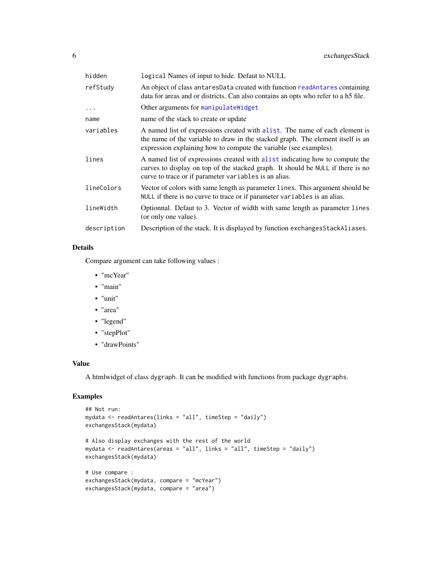<span id="page-5-0"></span>

| hidden      | logical Names of input to hide. Defaut to NULL                                                                                                                                                                                      |
|-------------|-------------------------------------------------------------------------------------------------------------------------------------------------------------------------------------------------------------------------------------|
| refStudy    | An object of class antares Data created with function readantares containing<br>data for areas and or districts. Can also contains an opts who refer to a h5 file.                                                                  |
| $\ddots$    | Other arguments for manipulateWidget                                                                                                                                                                                                |
| name        | name of the stack to create or update                                                                                                                                                                                               |
| variables   | A named list of expressions created with alist. The name of each element is<br>the name of the variable to draw in the stacked graph. The element itself is an<br>expression explaining how to compute the variable (see examples). |
| lines       | A named list of expressions created with a list indicating how to compute the<br>curves to display on top of the stacked graph. It should be NULL if there is no<br>curve to trace or if parameter variables is an alias.           |
| lineColors  | Vector of colors with same length as parameter lines. This argument should be<br>NULL if there is no curve to trace or if parameter variables is an alias.                                                                          |
| lineWidth   | Optionnal. Defaut to 3. Vector of width with same length as parameter lines<br>(or only one value).                                                                                                                                 |
| description | Description of the stack. It is displayed by function exchanges Stack Aliases.                                                                                                                                                      |
|             |                                                                                                                                                                                                                                     |

#### Details

Compare argument can take following values :

- "mcYear"
- "main"
- "unit"
- "area"
- "legend"
- "stepPlot"
- "drawPoints"

#### Value

A htmlwidget of class dygraph. It can be modified with functions from package dygraphs.

## Examples

```
## Not run:
mydata <- readAntares(links = "all", timeStep = "daily")
exchangesStack(mydata)
# Also display exchanges with the rest of the world
mydata <- readAntares(areas = "all", links = "all", timeStep = "daily")
exchangesStack(mydata)
# Use compare :
exchangesStack(mydata, compare = "mcYear")
exchangesStack(mydata, compare = "area")
```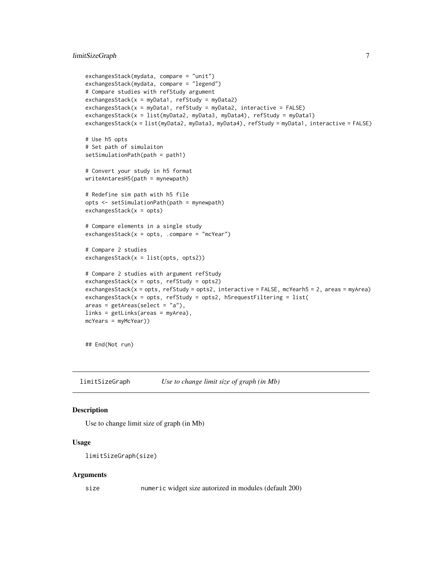```
exchangesStack(mydata, compare = "unit")
exchangesStack(mydata, compare = "legend")
# Compare studies with refStudy argument
exchangesStack(x = myData1, refStudy = myData2)exchangesStack(x = myData1, refStudy = myData2, interactive = FALSE)exchangesStack(x = list(myData2, myData3, myData4), refStudy = myData1)
exchangesStack(x = list(myData2, myData3, myData4), refStudy = myData1, interactive = FALSE)
# Use h5 opts
# Set path of simulaiton
setSimulationPath(path = path1)
# Convert your study in h5 format
writeAntaresH5(path = mynewpath)
# Redefine sim path with h5 file
opts <- setSimulationPath(path = mynewpath)
exchangesStack(x = opts)
# Compare elements in a single study
exchangesStack(x = opts, .compare = "mcYear")# Compare 2 studies
exchangesStack(x = list(opts, opts2))
# Compare 2 studies with argument refStudy
exchangesStack(x = opts, refStudy = opts2)exchangesStack(x = opts, refStudy = opts2, interactive = FALSE, mcYearh5 = 2, areas = myArea)
exchangesStack(x = opts, refStudy = opts2, h5requestFiltering = list(
areas = getAreas(select = "a"),
links = getLinks(areas = myArea),
mcYears = myMcYear))
```
## End(Not run)

limitSizeGraph *Use to change limit size of graph (in Mb)*

#### Description

Use to change limit size of graph (in Mb)

## Usage

```
limitSizeGraph(size)
```
#### Arguments

size numeric widget size autorized in modules (default 200)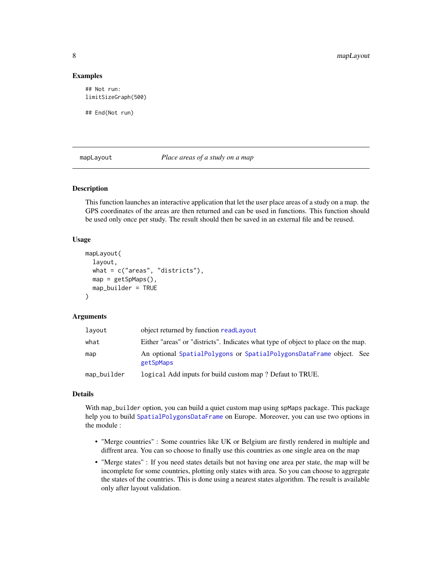#### Examples

## Not run: limitSizeGraph(500)

## End(Not run)

<span id="page-7-1"></span>mapLayout *Place areas of a study on a map*

#### Description

This function launches an interactive application that let the user place areas of a study on a map. the GPS coordinates of the areas are then returned and can be used in functions. This function should be used only once per study. The result should then be saved in an external file and be reused.

#### Usage

```
mapLayout(
  layout,
  what = c("areas", "districts"),
  map = getSpMaps(),
  map_builder = TRUE
)
```
#### **Arguments**

| layout      | object returned by function readLayout                                            |  |
|-------------|-----------------------------------------------------------------------------------|--|
| what        | Either "areas" or "districts". Indicates what type of object to place on the map. |  |
| map         | An optional SpatialPolygons or SpatialPolygonsDataFrame object. See<br>getSpMaps  |  |
| map_builder | logical Add inputs for build custom map? Defaut to TRUE.                          |  |

#### Details

With map\_builder option, you can build a quiet custom map using spMaps package. This package help you to build [SpatialPolygonsDataFrame](#page-0-0) on Europe. Moreover, you can use two options in the module :

- "Merge countries" : Some countries like UK or Belgium are firstly rendered in multiple and diffrent area. You can so choose to finally use this countries as one single area on the map
- "Merge states" : If you need states details but not having one area per state, the map will be incomplete for some countries, plotting only states with area. So you can choose to aggregate the states of the countries. This is done using a nearest states algorithm. The result is available only after layout validation.

<span id="page-7-0"></span>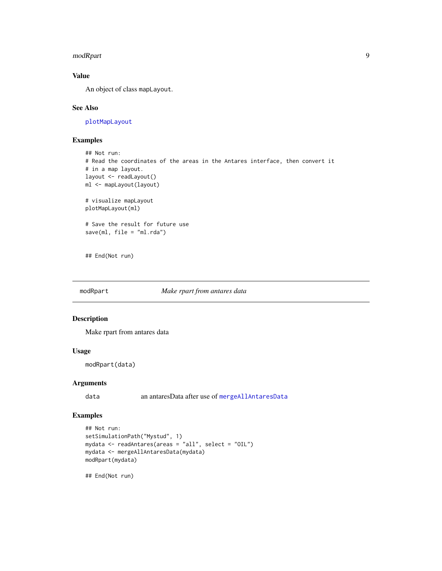#### <span id="page-8-0"></span>modRpart 99

## Value

An object of class mapLayout.

## See Also

[plotMapLayout](#page-17-1)

## Examples

```
## Not run:
# Read the coordinates of the areas in the Antares interface, then convert it
# in a map layout.
layout <- readLayout()
ml <- mapLayout(layout)
# visualize mapLayout
plotMapLayout(ml)
# Save the result for future use
save(ml, file = "ml.rda")
```
## End(Not run)

#### modRpart *Make rpart from antares data*

#### Description

Make rpart from antares data

#### Usage

modRpart(data)

## Arguments

data an antaresData after use of [mergeAllAntaresData](#page-0-0)

#### Examples

```
## Not run:
setSimulationPath("Mystud", 1)
mydata <- readAntares(areas = "all", select = "OIL")
mydata <- mergeAllAntaresData(mydata)
modRpart(mydata)
```
## End(Not run)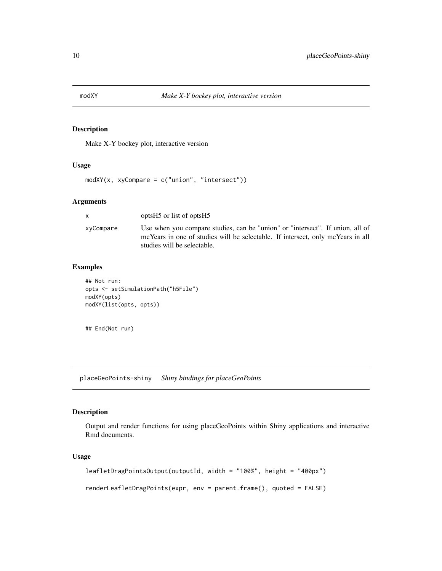<span id="page-9-0"></span>

## Description

Make X-Y bockey plot, interactive version

#### Usage

```
modXY(x, xyCompare = c("union", "intersect"))
```
## Arguments

| $\mathsf{x}$ | optsH <sub>5</sub> or list of optsH <sub>5</sub>                                                                                                                                                |
|--------------|-------------------------------------------------------------------------------------------------------------------------------------------------------------------------------------------------|
| xyCompare    | Use when you compare studies, can be "union" or "intersect". If union, all of<br>mcYears in one of studies will be selectable. If intersect, only mcYears in all<br>studies will be selectable. |

## Examples

```
## Not run:
opts <- setSimulationPath("h5File")
modXY(opts)
modXY(list(opts, opts))
```
## End(Not run)

placeGeoPoints-shiny *Shiny bindings for placeGeoPoints*

## Description

Output and render functions for using placeGeoPoints within Shiny applications and interactive Rmd documents.

## Usage

```
leafletDragPointsOutput(outputId, width = "100%", height = "400px")
renderLeafletDragPoints(expr, env = parent.frame(), quoted = FALSE)
```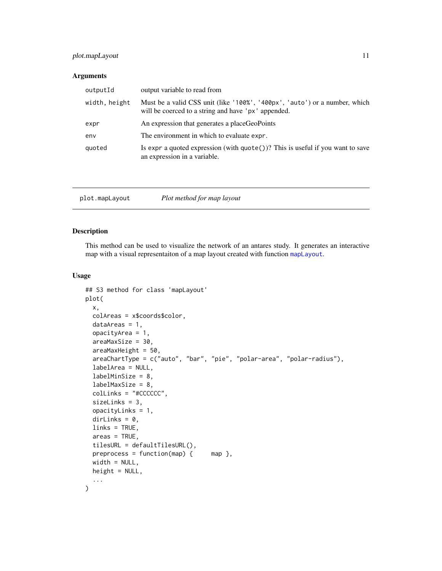## <span id="page-10-0"></span>plot.mapLayout 11

#### Arguments

| outputId      | output variable to read from                                                                                                      |
|---------------|-----------------------------------------------------------------------------------------------------------------------------------|
| width, height | Must be a valid CSS unit (like '100%', '400px', 'auto') or a number, which<br>will be coerced to a string and have 'px' appended. |
| expr          | An expression that generates a placeGeoPoints                                                                                     |
| env           | The environment in which to evaluate expr.                                                                                        |
| quoted        | Is expr a quoted expression (with $\text{quote}()$ )? This is useful if you want to save<br>an expression in a variable.          |

| plot.mapLayout | Plot method for map layout |  |
|----------------|----------------------------|--|
|----------------|----------------------------|--|

## Description

This method can be used to visualize the network of an antares study. It generates an interactive map with a visual representaiton of a map layout created with function [mapLayout](#page-7-1).

#### Usage

```
## S3 method for class 'mapLayout'
plot(
  x,
  colAreas = x$coords$color,
  dataAreas = 1,
  opacityArea = 1,
  areaMaxSize = 30,
  areaMaxHeight = 50,
  areaChartType = c("auto", "bar", "pie", "polar-area", "polar-radius"),
  labelArea = NULL,
  labelMinSize = 8,
  labelMaxSize = 8,
  colLinks = "#CCCCCC",
  sizeLinks = 3,
  opacityLinks = 1,
  dirLinks = 0,
  links = TRUE,
  areas = TRUE,
  tilesURL = defaultTilesURL(),
 preprocess = function(map) { map },
 width = NULL,
 height = NULL,...
\mathcal{L}
```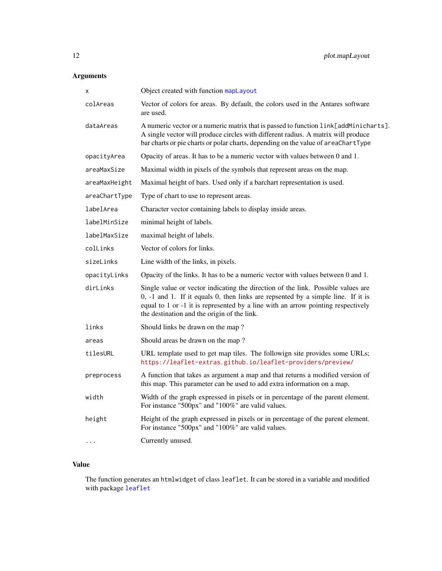## <span id="page-11-0"></span>Arguments

| Object created with function mapLayout                                                                                                                                                                                                                                                                  |
|---------------------------------------------------------------------------------------------------------------------------------------------------------------------------------------------------------------------------------------------------------------------------------------------------------|
| Vector of colors for areas. By default, the colors used in the Antares software<br>are used.                                                                                                                                                                                                            |
| A numeric vector or a numeric matrix that is passed to function link[addMinicharts].<br>A single vector will produce circles with different radius. A matrix will produce<br>bar charts or pie charts or polar charts, depending on the value of areaChartType                                          |
| Opacity of areas. It has to be a numeric vector with values between 0 and 1.                                                                                                                                                                                                                            |
| Maximal width in pixels of the symbols that represent areas on the map.                                                                                                                                                                                                                                 |
| Maximal height of bars. Used only if a barchart representation is used.                                                                                                                                                                                                                                 |
| Type of chart to use to represent areas.                                                                                                                                                                                                                                                                |
| Character vector containing labels to display inside areas.                                                                                                                                                                                                                                             |
| minimal height of labels.                                                                                                                                                                                                                                                                               |
| maximal height of labels.                                                                                                                                                                                                                                                                               |
| Vector of colors for links.                                                                                                                                                                                                                                                                             |
| Line width of the links, in pixels.                                                                                                                                                                                                                                                                     |
| Opacity of the links. It has to be a numeric vector with values between 0 and 1.                                                                                                                                                                                                                        |
| Single value or vector indicating the direction of the link. Possible values are<br>0, -1 and 1. If it equals 0, then links are repsented by a simple line. If it is<br>equal to 1 or -1 it is represented by a line with an arrow pointing respectively<br>the destination and the origin of the link. |
| Should links be drawn on the map?                                                                                                                                                                                                                                                                       |
| Should areas be drawn on the map?                                                                                                                                                                                                                                                                       |
| URL template used to get map tiles. The followign site provides some URLs;<br>https://leaflet-extras.github.io/leaflet-providers/preview/                                                                                                                                                               |
| A function that takes as argument a map and that returns a modified version of<br>this map. This parameter can be used to add extra information on a map.                                                                                                                                               |
| Width of the graph expressed in pixels or in percentage of the parent element.<br>For instance "500px" and "100%" are valid values.                                                                                                                                                                     |
| Height of the graph expressed in pixels or in percentage of the parent element.<br>For instance "500px" and "100%" are valid values.                                                                                                                                                                    |
| Currently unused.                                                                                                                                                                                                                                                                                       |
|                                                                                                                                                                                                                                                                                                         |

## Value

The function generates an htmlwidget of class leaflet. It can be stored in a variable and modified with package [leaflet](#page-0-0)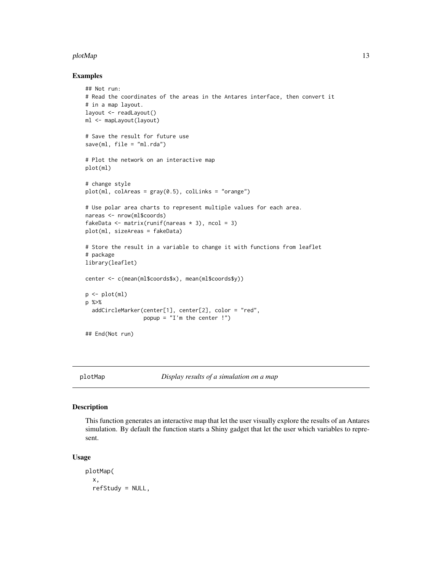#### <span id="page-12-0"></span>plotMap and the state of the state of the state of the state of the state of the state of the state of the state of the state of the state of the state of the state of the state of the state of the state of the state of th

#### Examples

```
## Not run:
# Read the coordinates of the areas in the Antares interface, then convert it
# in a map layout.
layout <- readLayout()
ml <- mapLayout(layout)
# Save the result for future use
save(m1, file = "m1.rda")# Plot the network on an interactive map
plot(ml)
# change style
plot(ml, colAreas = gray(0.5), colLinks = "orange")
# Use polar area charts to represent multiple values for each area.
nareas <- nrow(ml$coords)
fakeData \leq matrix(runif(nareas * 3), ncol = 3)
plot(ml, sizeAreas = fakeData)
# Store the result in a variable to change it with functions from leaflet
# package
library(leaflet)
center <- c(mean(ml$coords$x), mean(ml$coords$y))
p <- plot(ml)
p %>%
  addCircleMarker(center[1], center[2], color = "red",
                  popup = "I'm the center !")
## End(Not run)
```
<span id="page-12-1"></span>

plotMap *Display results of a simulation on a map*

#### Description

This function generates an interactive map that let the user visually explore the results of an Antares simulation. By default the function starts a Shiny gadget that let the user which variables to represent.

#### Usage

```
plotMap(
  x,
  refStudy = NULL,
```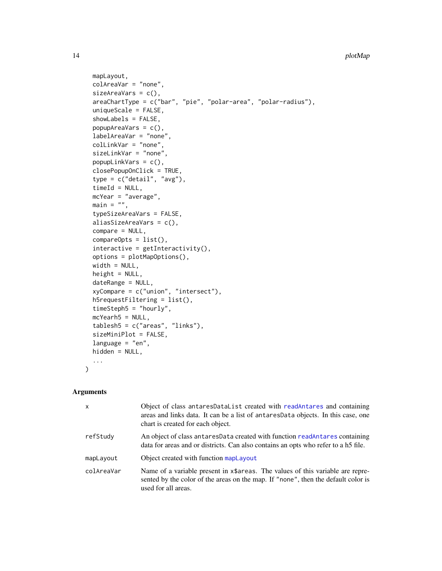```
mapLayout,
 colAreaVar = "none",
  sizeAreaVars = c(),
  areaChartType = c("bar", "pie", "polar-area", "polar-radius"),
  uniqueScale = FALSE,
  showLabels = FALSE,
 popupAreaVars = c(),
  labelAreaVar = "none",
  colLinkVar = "none",
  sizeLinkVar = "none",
 popupLinkVars = c(),
 closePopupOnClick = TRUE,
  type = c("detail", "avg"),
  timeId = NULL,mcYear = "average",
 main = "",typeSizeAreaVars = FALSE,
  aliasSizeAreaVars = c(),
 compare = NULL,
  compareOpts = list(),
  interactive = getInteractivity(),
 options = plotMapOptions(),
 width = NULL,
 height = NULL,dateRange = NULL,
  xyCompare = c("union", "intersect"),
 h5requestFiltering = list(),
  timeSteph5 = "hourly",
 mcYearh5 = NULL,tablesh5 = c("areas", "links"),
  sizeMiniPlot = FALSE,
 language = "en",hidden = NULL,...
\mathcal{L}
```
## Arguments

| $\mathsf{x}$ | Object of class antaresDataList created with readAntares and containing<br>areas and links data. It can be a list of antaresData objects. In this case, one<br>chart is created for each object. |
|--------------|--------------------------------------------------------------------------------------------------------------------------------------------------------------------------------------------------|
| refStudy     | An object of class antares Data created with function read Antares containing<br>data for areas and or districts. Can also contains an opts who refer to a h5 file.                              |
| mapLayout    | Object created with function mapLayout                                                                                                                                                           |
| colAreaVar   | Name of a variable present in x\$areas. The values of this variable are repre-<br>sented by the color of the areas on the map. If "none", then the default color is<br>used for all areas.       |

<span id="page-13-0"></span>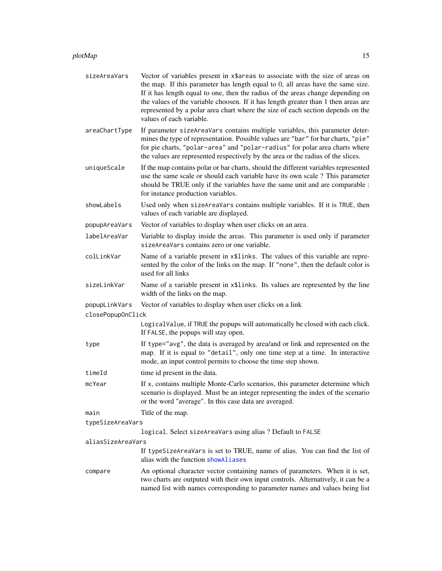#### <span id="page-14-0"></span>plotMap 2.15

- sizeAreaVars Vector of variables present in x\$areas to associate with the size of areas on the map. If this parameter has length equal to 0, all areas have the same size. If it has length equal to one, then the radius of the areas change depending on the values of the variable choosen. If it has length greater than 1 then areas are represented by a polar area chart where the size of each section depends on the values of each variable.
- areaChartType If parameter sizeAreaVars contains multiple variables, this parameter determines the type of representation. Possible values are "bar" for bar charts, "pie" for pie charts, "polar-area" and "polar-radius" for polar area charts where the values are represented respectively by the area or the radius of the slices.
- uniqueScale If the map contains polar or bar charts, should the different variables represented use the same scale or should each variable have its own scale ? This parameter should be TRUE only if the variables have the same unit and are comparable : for instance production variables.
- showLabels Used only when sizeAreaVars contains multiple variables. If it is TRUE, then values of each variable are displayed.
- popupAreaVars Vector of variables to display when user clicks on an area.
- labelAreaVar Variable to display inside the areas. This parameter is used only if parameter sizeAreaVars contains zero or one variable.
- colLinkVar Name of a variable present in x\$links. The values of this variable are represented by the color of the links on the map. If "none", then the default color is used for all links
- sizeLinkVar Name of a variable present in x\$links. Its values are represented by the line width of the links on the map.

```
popupLinkVars Vector of variables to display when user clicks on a link
```
closePopupOnClick

LogicalValue, if TRUE the popups will automatically be closed with each click. If FALSE, the popups will stay open.

- type If type="avg", the data is averaged by area/and or link and represented on the map. If it is equal to "detail", only one time step at a time. In interactive mode, an input control permits to choose the time step shown.
- timeId time id present in the data.
- mcYear If x, contains multiple Monte-Carlo scenarios, this parameter determine which scenario is displayed. Must be an integer representing the index of the scenario or the word "average". In this case data are averaged.

```
main Title of the map.
```
typeSizeAreaVars

```
logical. Select sizeAreaVars using alias ? Default to FALSE
```
aliasSizeAreaVars

If typeSizeAreaVars is set to TRUE, name of alias. You can find the list of alias with the function [showAliases](#page-0-0)

compare An optional character vector containing names of parameters. When it is set, two charts are outputed with their own input controls. Alternatively, it can be a named list with names corresponding to parameter names and values being list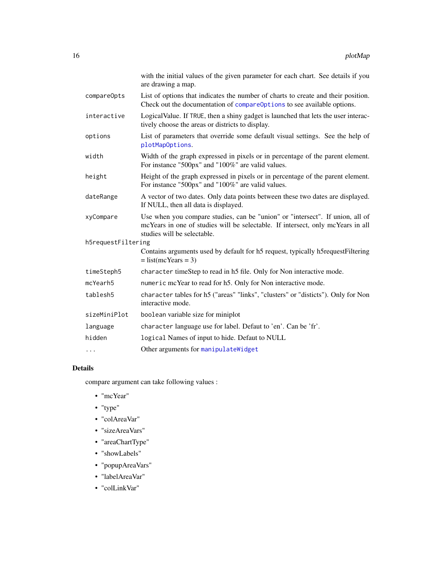<span id="page-15-0"></span>

|                    | with the initial values of the given parameter for each chart. See details if you<br>are drawing a map.                                                                                         |
|--------------------|-------------------------------------------------------------------------------------------------------------------------------------------------------------------------------------------------|
| compareOpts        | List of options that indicates the number of charts to create and their position.<br>Check out the documentation of compareOptions to see available options.                                    |
| interactive        | Logical Value. If TRUE, then a shiny gadget is launched that lets the user interac-<br>tively choose the areas or districts to display.                                                         |
| options            | List of parameters that override some default visual settings. See the help of<br>plotMapOptions.                                                                                               |
| width              | Width of the graph expressed in pixels or in percentage of the parent element.<br>For instance "500px" and "100%" are valid values.                                                             |
| height             | Height of the graph expressed in pixels or in percentage of the parent element.<br>For instance "500px" and "100%" are valid values.                                                            |
| dateRange          | A vector of two dates. Only data points between these two dates are displayed.<br>If NULL, then all data is displayed.                                                                          |
| xyCompare          | Use when you compare studies, can be "union" or "intersect". If union, all of<br>mcYears in one of studies will be selectable. If intersect, only mcYears in all<br>studies will be selectable. |
| h5requestFiltering |                                                                                                                                                                                                 |
|                    | Contains arguments used by default for h5 request, typically h5requestFiltering<br>$=$ list(mcYears = 3)                                                                                        |
| timeSteph5         | character timeStep to read in h5 file. Only for Non interactive mode.                                                                                                                           |
| mcYearh5           | numeric mcYear to read for h5. Only for Non interactive mode.                                                                                                                                   |
| tablesh5           | character tables for h5 ("areas" "links", "clusters" or "disticts"). Only for Non<br>interactive mode.                                                                                          |
| sizeMiniPlot       | boolean variable size for miniplot                                                                                                                                                              |
| language           | character language use for label. Defaut to 'en'. Can be 'fr'.                                                                                                                                  |
| hidden             | logical Names of input to hide. Defaut to NULL                                                                                                                                                  |
| .                  | Other arguments for manipulateWidget                                                                                                                                                            |

## Details

compare argument can take following values :

- "mcYear"
- "type"
- "colAreaVar"
- "sizeAreaVars"
- "areaChartType"
- "showLabels"
- "popupAreaVars"
- "labelAreaVar"
- "colLinkVar"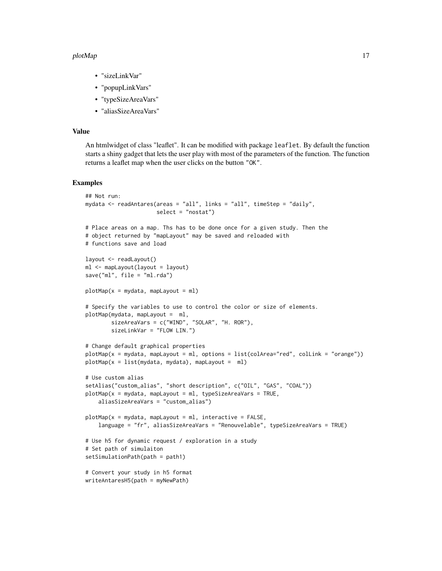#### plotMap and the set of the set of the set of the set of the set of the set of the set of the set of the set of the set of the set of the set of the set of the set of the set of the set of the set of the set of the set of t

- "sizeLinkVar"
- "popupLinkVars"
- "typeSizeAreaVars"
- "aliasSizeAreaVars"

## Value

An htmlwidget of class "leaflet". It can be modified with package leaflet. By default the function starts a shiny gadget that lets the user play with most of the parameters of the function. The function returns a leaflet map when the user clicks on the button "OK".

#### Examples

```
## Not run:
mydata <- readAntares(areas = "all", links = "all", timeStep = "daily",
                      select = "nostat")
# Place areas on a map. Ths has to be done once for a given study. Then the
# object returned by "mapLayout" may be saved and reloaded with
# functions save and load
layout <- readLayout()
ml <- mapLayout(layout = layout)
save("ml", file = "ml.rda")
plotMap(x = mydata, mapLayout = ml)# Specify the variables to use to control the color or size of elements.
plotMap(mydata, mapLayout = ml,
        sizeAreaVars = c("WIND", "SOLAR", "H. ROR"),
        sizeLinkVar = "FLOW LIN.")
# Change default graphical properties
plotMap(x = mydata, mapLayout = ml, options = list(colArea="red", colLink = "orange"))
plotMap(x = list(mydata, mydata), mapLayout = ml)# Use custom alias
setAlias("custom_alias", "short description", c("OIL", "GAS", "COAL"))
plotMap(x = mydata, mapLayout = ml, typeSizeAreaVars = TRUE,aliasSizeAreaVars = "custom_alias")
plotMap(x = mydata, mapLayout = ml, interactive = FALSE,
    language = "fr", aliasSizeAreaVars = "Renouvelable", typeSizeAreaVars = TRUE)
# Use h5 for dynamic request / exploration in a study
# Set path of simulaiton
setSimulationPath(path = path1)
# Convert your study in h5 format
writeAntaresH5(path = myNewPath)
```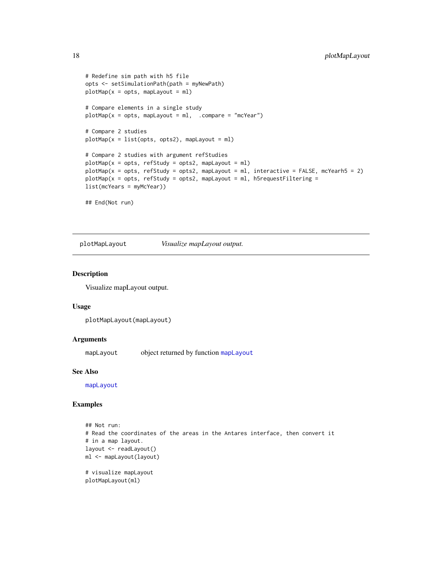```
# Redefine sim path with h5 file
opts <- setSimulationPath(path = myNewPath)
plotMap(x = opts, mapLayout = ml)# Compare elements in a single study
plotMap(x = opts, mapLayout = ml, .compare = "mcYear")# Compare 2 studies
plotMap(x = list(opts, opts2), mapLayout = ml)
# Compare 2 studies with argument refStudies
plotMap(x = opts, refStudy = opts2, mapLayout = ml)plotMap(x = opts, refStudy = opts2, mapLayout = ml, interactive = FALSE, mcYearh5 = 2)plotMap(x = opts, refStudy = opts2, mapLayout = ml, h5requestFiltering =list(mcYears = myMcYear))
## End(Not run)
```
<span id="page-17-1"></span>plotMapLayout *Visualize mapLayout output.*

#### Description

Visualize mapLayout output.

#### Usage

```
plotMapLayout(mapLayout)
```
#### Arguments

[mapLayout](#page-7-1) object returned by function mapLayout

#### See Also

[mapLayout](#page-7-1)

## Examples

```
## Not run:
# Read the coordinates of the areas in the Antares interface, then convert it
# in a map layout.
layout <- readLayout()
ml <- mapLayout(layout)
# visualize mapLayout
plotMapLayout(ml)
```
<span id="page-17-0"></span>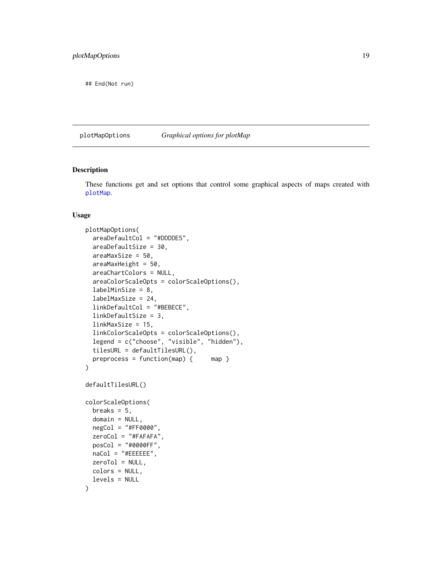<span id="page-18-0"></span>## End(Not run)

<span id="page-18-1"></span>plotMapOptions *Graphical options for plotMap*

#### <span id="page-18-2"></span>Description

These functions get and set options that control some graphical aspects of maps created with [plotMap](#page-12-1).

#### Usage

```
plotMapOptions(
  areaDefaultCol = "#DDDDE5",
  areaDefaultSize = 30,
  areaMaxSize = 50,
  areaMaxHeight = 50,
  areaChartColors = NULL,
  areaColorScaleOpts = colorScaleOptions(),
  labelMinSize = 8,
  labelMaxSize = 24,
  linkDefaultCol = "#BEBECE",
  linkDefaultSize = 3,
  linkMaxSize = 15,
  linkColorScaleOpts = colorScaleOptions(),
  legend = c("choose", "visible", "hidden"),
  tilesURL = defaultTilesURL(),
  preprocess = function(map) { map }
)
defaultTilesURL()
colorScaleOptions(
  breaks = 5,
  domain = NULL,
  negCol = "#FF0000",
  zeroCol = "#FAFAFA",
  posCol = "#0000FF",
 naCol = "#EEEEEE",
  zeroTol = NULL,
  colors = NULL,
  levels = NULL
)
```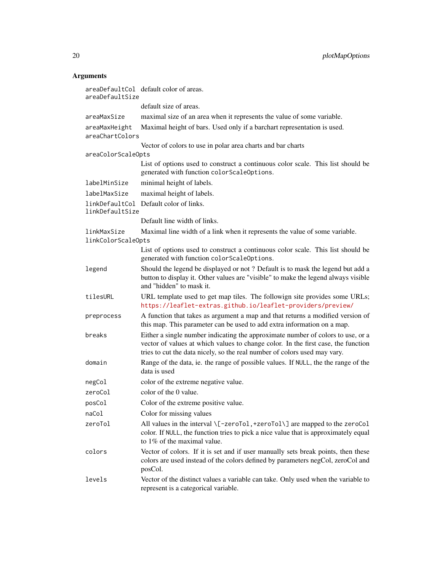## Arguments

| areaDefaultSize                   | areaDefaultCol default color of areas.                                                                                                                                                                                                            |
|-----------------------------------|---------------------------------------------------------------------------------------------------------------------------------------------------------------------------------------------------------------------------------------------------|
|                                   | default size of areas.                                                                                                                                                                                                                            |
| areaMaxSize                       | maximal size of an area when it represents the value of some variable.                                                                                                                                                                            |
| areaMaxHeight<br>areaChartColors  | Maximal height of bars. Used only if a barchart representation is used.                                                                                                                                                                           |
|                                   | Vector of colors to use in polar area charts and bar charts                                                                                                                                                                                       |
| areaColorScaleOpts                |                                                                                                                                                                                                                                                   |
|                                   | List of options used to construct a continuous color scale. This list should be<br>generated with function colorScaleOptions.                                                                                                                     |
| labelMinSize                      | minimal height of labels.                                                                                                                                                                                                                         |
| labelMaxSize                      | maximal height of labels.                                                                                                                                                                                                                         |
| linkDefaultSize                   | linkDefaultCol Default color of links.                                                                                                                                                                                                            |
|                                   | Default line width of links.                                                                                                                                                                                                                      |
| linkMaxSize<br>linkColorScaleOpts | Maximal line width of a link when it represents the value of some variable.                                                                                                                                                                       |
|                                   | List of options used to construct a continuous color scale. This list should be<br>generated with function colorScaleOptions.                                                                                                                     |
| legend                            | Should the legend be displayed or not ? Default is to mask the legend but add a<br>button to display it. Other values are "visible" to make the legend always visible<br>and "hidden" to mask it.                                                 |
| tilesURL                          | URL template used to get map tiles. The followign site provides some URLs;<br>https://leaflet-extras.github.io/leaflet-providers/preview/                                                                                                         |
| preprocess                        | A function that takes as argument a map and that returns a modified version of<br>this map. This parameter can be used to add extra information on a map.                                                                                         |
| breaks                            | Either a single number indicating the approximate number of colors to use, or a<br>vector of values at which values to change color. In the first case, the function<br>tries to cut the data nicely, so the real number of colors used may vary. |
| domain                            | Range of the data, ie. the range of possible values. If NULL, the the range of the<br>data is used                                                                                                                                                |
| negCol                            | color of the extreme negative value.                                                                                                                                                                                                              |
| zeroCol                           | color of the 0 value.                                                                                                                                                                                                                             |
| posCol                            | Color of the extreme positive value.                                                                                                                                                                                                              |
| naCol                             | Color for missing values                                                                                                                                                                                                                          |
| zeroTol                           | All values in the interval \[-zeroTo1,+zeroTo1\] are mapped to the zeroCo1<br>color. If NULL, the function tries to pick a nice value that is approximately equal<br>to 1% of the maximal value.                                                  |
| colors                            | Vector of colors. If it is set and if user manually sets break points, then these<br>colors are used instead of the colors defined by parameters negCol, zeroCol and<br>posCol.                                                                   |
| levels                            | Vector of the distinct values a variable can take. Only used when the variable to<br>represent is a categorical variable.                                                                                                                         |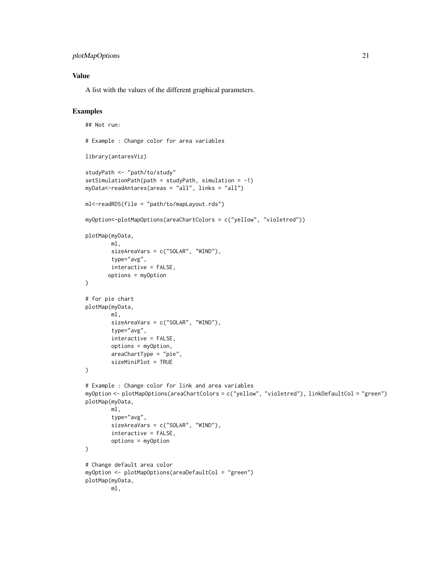## plotMapOptions 21

## Value

A list with the values of the different graphical parameters.

## Examples

```
## Not run:
# Example : Change color for area variables
library(antaresViz)
studyPath <- "path/to/study"
setsimulationPath(path = studyPath, simulation = -1)myData<-readAntares(areas = "all", links = "all")
ml<-readRDS(file = "path/to/mapLayout.rds")
myOption<-plotMapOptions(areaChartColors = c("yellow", "violetred"))
plotMap(myData,
        ml,
        sizeAreaVars = c("SOLAR", "WIND"),
        type="avg",
        interactive = FALSE,
       options = myOption
)
# for pie chart
plotMap(myData,
        ml,
        sizeAreaVars = c("SOLAR", "WIND"),
        type="avg",
        interactive = FALSE,
        options = myOption,
        areaChartType = "pie",
        sizeMiniPlot = TRUE
\mathcal{L}# Example : Change color for link and area variables
myOption <- plotMapOptions(areaChartColors = c("yellow", "violetred"), linkDefaultCol = "green")
plotMap(myData,
        ml,
        type="avg",
        sizeAreaVars = c("SOLAR", "WIND"),
        interactive = FALSE,
        options = myOption
)
# Change default area color
myOption <- plotMapOptions(areaDefaultCol = "green")
plotMap(myData,
        ml,
```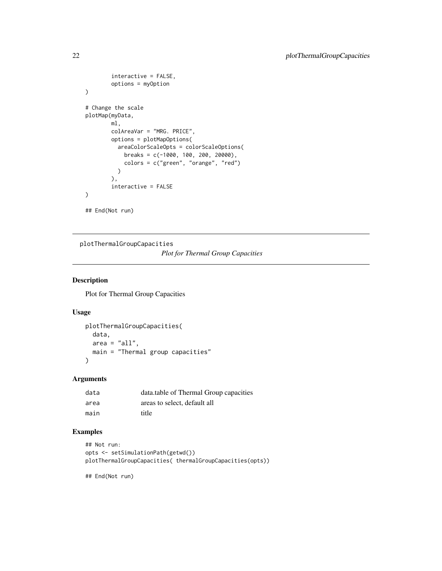```
interactive = FALSE,
        options = myOption
)
# Change the scale
plotMap(myData,
       ml,
       colAreaVar = "MRG. PRICE",
       options = plotMapOptions(
         areaColorScaleOpts = colorScaleOptions(
           breaks = c(-1000, 100, 200, 20000),
            colors = c("green", "orange", "red")
         )
        ),
        interactive = FALSE
)
## End(Not run)
```
plotThermalGroupCapacities

*Plot for Thermal Group Capacities*

## Description

Plot for Thermal Group Capacities

#### Usage

```
plotThermalGroupCapacities(
  data,
  area = "all",main = "Thermal group capacities"
\mathcal{L}
```
#### Arguments

| data | data.table of Thermal Group capacities |
|------|----------------------------------------|
| area | areas to select, default all           |
| main | title                                  |

## Examples

```
## Not run:
opts <- setSimulationPath(getwd())
plotThermalGroupCapacities( thermalGroupCapacities(opts))
```
## End(Not run)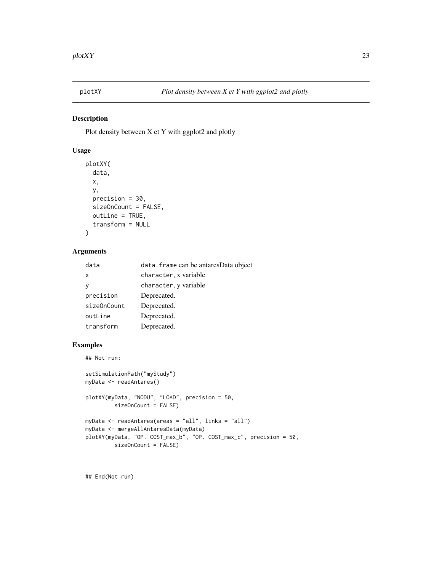<span id="page-22-0"></span>

## Description

Plot density between X et Y with ggplot2 and plotly

## Usage

```
plotXY(
 data,
 x,
 y,
 precision = 30,
 sizeOnCount = FALSE,
 outLine = TRUE,
  transform = NULL
)
```
## Arguments

| data                      | data. frame can be antaresData object |
|---------------------------|---------------------------------------|
| $\boldsymbol{\mathsf{x}}$ | character, x variable                 |
| v                         | character, y variable                 |
| precision                 | Deprecated.                           |
| sizeOnCount               | Deprecated.                           |
| outLine                   | Deprecated.                           |
| transform                 | Deprecated.                           |

## Examples

```
## Not run:
setSimulationPath("myStudy")
myData <- readAntares()
plotXY(myData, "NODU", "LOAD", precision = 50,
        sizeOnCount = FALSE)
myData <- readAntares(areas = "all", links = "all")
myData <- mergeAllAntaresData(myData)
plotXY(myData, "OP. COST_max_b", "OP. COST_max_c", precision = 50,
         sizeOnCount = FALSE)
```
## End(Not run)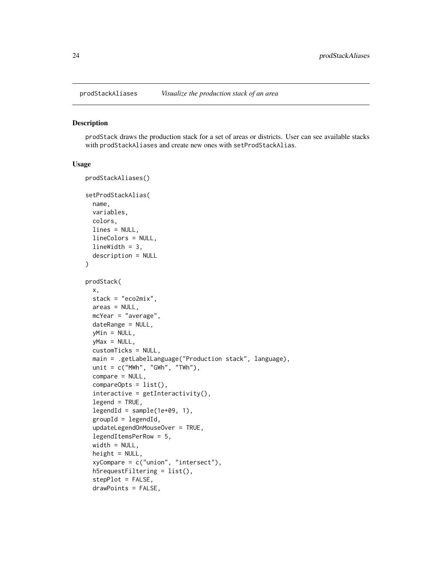<span id="page-23-0"></span>

#### Description

prodStack draws the production stack for a set of areas or districts. User can see available stacks with prodStackAliases and create new ones with setProdStackAlias.

#### Usage

```
prodStackAliases()
setProdStackAlias(
 name,
 variables,
 colors,
  lines = NULL,
  lineColors = NULL,
  lineWidth = 3,
  description = NULL
)
prodStack(
 x,
  stack = "eco2mix",
 areas = NULL,
 mcYear = "average",
 dateRange = NULL,
 yMin = NULL,
 yMax = NULL,
  customTicks = NULL,
 main = .getLabelLanguage("Production stack", language),
 unit = c("MWh", "GWh", "TWh"),compare = NULL,
  compareOpts = list(),
  interactive = getInteractivity(),
  legend = TRUE,legendId = sample(1e+09, 1),groupId = legendId,updateLegendOnMouseOver = TRUE,
  legendItemsPerRow = 5,
  width = NULL,height = NULL,xyCompare = c("union", "intersect"),
  h5requestFiltering = list(),
  stepPlot = FALSE,
  drawPoints = FALSE,
```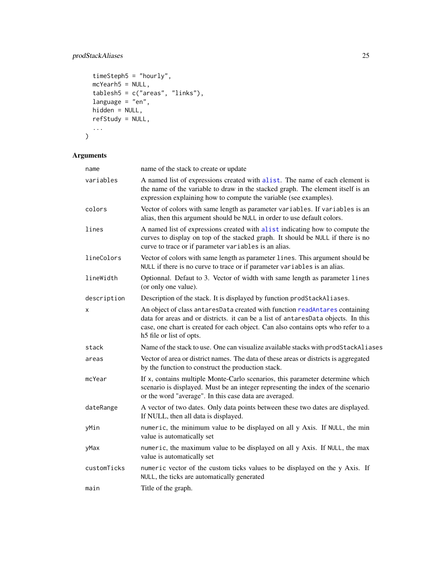## <span id="page-24-0"></span>prodStackAliases 25

```
timeSteph5 = "hourly",
  mcYearh5 = NULL,
  tablesh5 = c("areas", "links"),language = "en",hidden = NULL,refStudy = NULL,
  ...
\mathcal{L}
```
## Arguments

| name        | name of the stack to create or update                                                                                                                                                                                                                                             |
|-------------|-----------------------------------------------------------------------------------------------------------------------------------------------------------------------------------------------------------------------------------------------------------------------------------|
| variables   | A named list of expressions created with alist. The name of each element is<br>the name of the variable to draw in the stacked graph. The element itself is an<br>expression explaining how to compute the variable (see examples).                                               |
| colors      | Vector of colors with same length as parameter variables. If variables is an<br>alias, then this argument should be NULL in order to use default colors.                                                                                                                          |
| lines       | A named list of expressions created with alist indicating how to compute the<br>curves to display on top of the stacked graph. It should be NULL if there is no<br>curve to trace or if parameter variables is an alias.                                                          |
| lineColors  | Vector of colors with same length as parameter lines. This argument should be<br>NULL if there is no curve to trace or if parameter variables is an alias.                                                                                                                        |
| lineWidth   | Optionnal. Defaut to 3. Vector of width with same length as parameter lines<br>(or only one value).                                                                                                                                                                               |
| description | Description of the stack. It is displayed by function prodStackAliases.                                                                                                                                                                                                           |
| x           | An object of class antaresData created with function readAntares containing<br>data for areas and or districts. it can be a list of antaresData objects. In this<br>case, one chart is created for each object. Can also contains opts who refer to a<br>h5 file or list of opts. |
| stack       | Name of the stack to use. One can visualize available stacks with prodStackAliases                                                                                                                                                                                                |
| areas       | Vector of area or district names. The data of these areas or districts is aggregated<br>by the function to construct the production stack.                                                                                                                                        |
| mcYear      | If x, contains multiple Monte-Carlo scenarios, this parameter determine which<br>scenario is displayed. Must be an integer representing the index of the scenario<br>or the word "average". In this case data are averaged.                                                       |
| dateRange   | A vector of two dates. Only data points between these two dates are displayed.<br>If NULL, then all data is displayed.                                                                                                                                                            |
| yMin        | numeric, the minimum value to be displayed on all y Axis. If NULL, the min<br>value is automatically set                                                                                                                                                                          |
| yMax        | numeric, the maximum value to be displayed on all y Axis. If NULL, the max<br>value is automatically set                                                                                                                                                                          |
| customTicks | numeric vector of the custom ticks values to be displayed on the y Axis. If<br>NULL, the ticks are automatically generated                                                                                                                                                        |
| main        | Title of the graph.                                                                                                                                                                                                                                                               |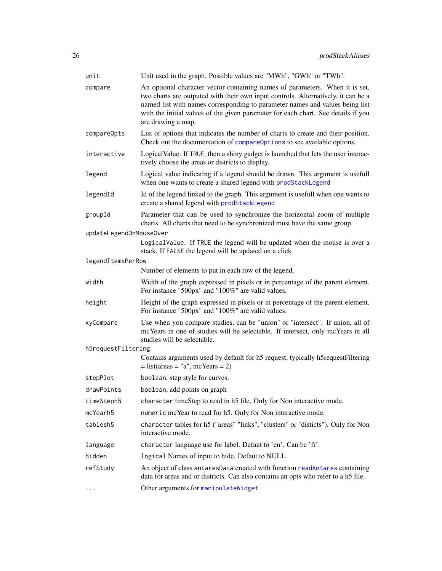<span id="page-25-0"></span>

| unit                    | Unit used in the graph. Possible values are "MWh", "GWh" or "TWh".                                                                                                                                                                                                                                                                                           |
|-------------------------|--------------------------------------------------------------------------------------------------------------------------------------------------------------------------------------------------------------------------------------------------------------------------------------------------------------------------------------------------------------|
| compare                 | An optional character vector containing names of parameters. When it is set,<br>two charts are outputed with their own input controls. Alternatively, it can be a<br>named list with names corresponding to parameter names and values being list<br>with the initial values of the given parameter for each chart. See details if you<br>are drawing a map. |
| compareOpts             | List of options that indicates the number of charts to create and their position.<br>Check out the documentation of compareOptions to see available options.                                                                                                                                                                                                 |
| interactive             | Logical Value. If TRUE, then a shiny gadget is launched that lets the user interac-<br>tively choose the areas or districts to display.                                                                                                                                                                                                                      |
| legend                  | Logical value indicating if a legend should be drawn. This argument is usefull<br>when one wants to create a shared legend with prodStackLegend                                                                                                                                                                                                              |
| legendId                | Id of the legend linked to the graph. This argument is usefull when one wants to<br>create a shared legend with prodStackLegend                                                                                                                                                                                                                              |
| groupId                 | Parameter that can be used to synchronize the horizontal zoom of multiple<br>charts. All charts that need to be synchronized must have the same group.                                                                                                                                                                                                       |
| updateLegendOnMouseOver |                                                                                                                                                                                                                                                                                                                                                              |
|                         | LogicalValue. If TRUE the legend will be updated when the mouse is over a<br>stack. If FALSE the legend will be updated on a click                                                                                                                                                                                                                           |
| legendItemsPerRow       |                                                                                                                                                                                                                                                                                                                                                              |
|                         | Number of elements to put in each row of the legend.                                                                                                                                                                                                                                                                                                         |
| width                   | Width of the graph expressed in pixels or in percentage of the parent element.<br>For instance "500px" and "100%" are valid values.                                                                                                                                                                                                                          |
| height                  | Height of the graph expressed in pixels or in percentage of the parent element.<br>For instance "500px" and "100%" are valid values.                                                                                                                                                                                                                         |
| xyCompare               | Use when you compare studies, can be "union" or "intersect". If union, all of<br>mcYears in one of studies will be selectable. If intersect, only mcYears in all<br>studies will be selectable.                                                                                                                                                              |
| h5requestFiltering      |                                                                                                                                                                                                                                                                                                                                                              |
|                         | Contains arguments used by default for h5 request, typically h5requestFiltering<br>$=$ list(areas $=$ "a", mcYears $=$ 2)                                                                                                                                                                                                                                    |
| stepPlot                | boolean, step style for curves.                                                                                                                                                                                                                                                                                                                              |
| drawPoints              | boolean, add points on graph                                                                                                                                                                                                                                                                                                                                 |
| timeSteph5              | character timeStep to read in h5 file. Only for Non interactive mode.                                                                                                                                                                                                                                                                                        |
| mcYearh5                | numeric mcYear to read for h5. Only for Non interactive mode.                                                                                                                                                                                                                                                                                                |
| tablesh5                | character tables for h5 ("areas" "links", "clusters" or "disticts"). Only for Non<br>interactive mode.                                                                                                                                                                                                                                                       |
| language                | character language use for label. Defaut to 'en'. Can be 'fr'.                                                                                                                                                                                                                                                                                               |
| hidden                  | logical Names of input to hide. Defaut to NULL                                                                                                                                                                                                                                                                                                               |
| refStudy                | An object of class antaresData created with function readAntares containing<br>data for areas and or districts. Can also contains an opts who refer to a h5 file.                                                                                                                                                                                            |
| .                       | Other arguments for manipulateWidget                                                                                                                                                                                                                                                                                                                         |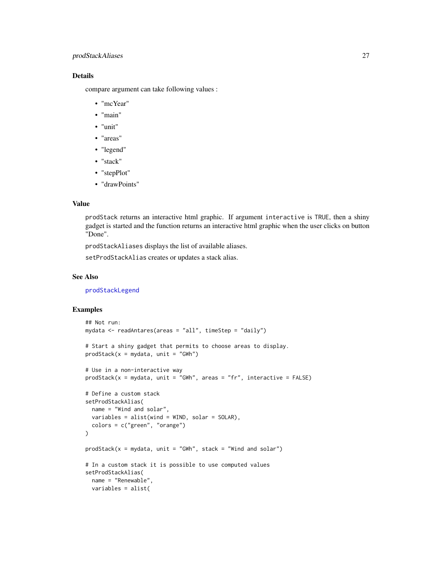## <span id="page-26-0"></span>prodStackAliases 27

## Details

compare argument can take following values :

- "mcYear"
- "main"
- "unit"
- "areas"
- "legend"
- "stack"
- "stepPlot"
- "drawPoints"

#### Value

prodStack returns an interactive html graphic. If argument interactive is TRUE, then a shiny gadget is started and the function returns an interactive html graphic when the user clicks on button "Done".

prodStackAliases displays the list of available aliases.

setProdStackAlias creates or updates a stack alias.

#### See Also

[prodStackLegend](#page-28-1)

## Examples

```
## Not run:
mydata <- readAntares(areas = "all", timeStep = "daily")
# Start a shiny gadget that permits to choose areas to display.
prodStack(x = mydata, unit = "GWh")# Use in a non-interactive way
prodStack(x = mydata, unit = "GWh", areas = "fr", interactive = FALSE)# Define a custom stack
setProdStackAlias(
  name = "Wind and solar",
  variables = alist(wind = WIND, solar = SOLAR),
  colors = c("green", "orange")
\mathcal{L}prodStack(x = mydata, unit = "GWh", stack = "Wind and solar")# In a custom stack it is possible to use computed values
setProdStackAlias(
 name = "Renewable",
 variables = alist(
```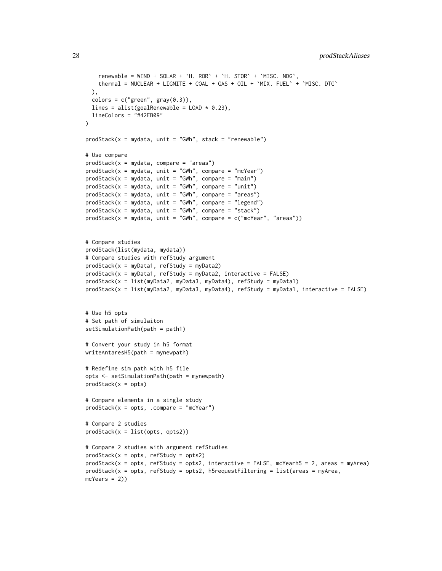```
renewable = WIND + SOLAR + 'H. ROR' + 'H. STOR' + 'MISC. NDG',thermal = NUCLEAR + LIGNITE + COAL + GAS + OIL + `MIX. FUEL` + `MISC. DTG`
  ),
  colors = c("green", gray(0.3)),lines = alist(goalRenewable = LOAD * 0.23),
  lineColors = "#42EB09"
)
prodStack(x = mydata, unit = "GWh", stack = "renewable")# Use compare
prodStack(x = mydata, compare = "areas")
prodStack(x = mydata, unit = "GWh", compare = "mcYear")prodStack(x = mydata, unit = "GWh", compare = "main")\text{prodStack}(x = \text{mydata}, \text{unit} = \text{"GWh"}, compare = "unit")
prodStack(x = mydata, unit = "GWh", compare = "areas")
\text{prodStack}(x = \text{mydata}, \text{unit} = \text{"GWh", \text{ compare}} = \text{"legend"})prodStack(x = mydata, unit = "GWh", compare = "stack")prodStack(x = mydata, unit = "GWh", compare = c("mcYear", "areas"))# Compare studies
prodStack(list(mydata, mydata))
# Compare studies with refStudy argument
prodStack(x = myData1, refStudy = myData2)
prodStack(x = myData1, refStudy = myData2, interface = FALSE)prodStack(x = list(myData2, myData3, myData4), refStudy = myData1)
prodStack(x = list(myData2, myData3, myData4), refStudy = myData1, interactive = FALSE)
# Use h5 opts
# Set path of simulaiton
setSimulationPath(path = path1)
# Convert your study in h5 format
writeAntaresH5(path = mynewpath)
# Redefine sim path with h5 file
opts <- setSimulationPath(path = mynewpath)
prodStack(x = opts)# Compare elements in a single study
prodStack(x = opts, .compare = "mcYear")
# Compare 2 studies
prodStack(x = list(opts, opts2))
# Compare 2 studies with argument refStudies
prodStack(x = opts, refStudy = opts2)prodStack(x = opts, refStudy = opts2, interactive = FALSE, mCYearh5 = 2, areas = myArea)prodState(x = opts, refStudy = opts2, h5requestFiltering = list(areas = myArea,mcYears = 2)
```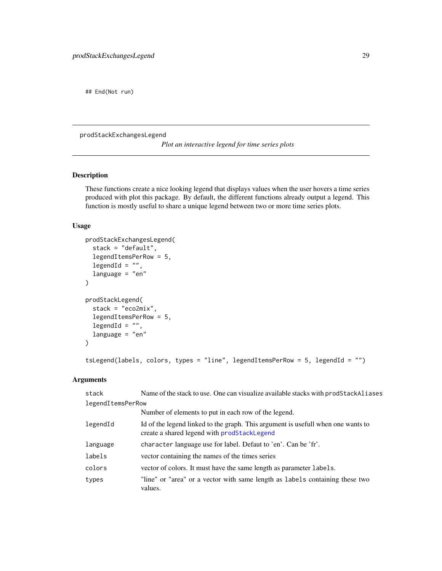<span id="page-28-0"></span>## End(Not run)

prodStackExchangesLegend

*Plot an interactive legend for time series plots*

## <span id="page-28-1"></span>Description

These functions create a nice looking legend that displays values when the user hovers a time series produced with plot this package. By default, the different functions already output a legend. This function is mostly useful to share a unique legend between two or more time series plots.

## Usage

```
prodStackExchangesLegend(
  stack = "default",
  legendItemsPerRow = 5,
  legendId = "",language = "en"
\lambdaprodStackLegend(
  stack = "eco2mix",
  legendItemsPerRow = 5,
  legendId = ",
  language = "en"
\lambda
```

```
tsLegend(labels, colors, types = "line", legendItemsPerRow = 5, legendId = "")
```
## Arguments

| stack             | Name of the stack to use. One can visualize available stacks with prodStackAliases                                              |
|-------------------|---------------------------------------------------------------------------------------------------------------------------------|
| legendItemsPerRow |                                                                                                                                 |
|                   | Number of elements to put in each row of the legend.                                                                            |
| legendId          | Id of the legend linked to the graph. This argument is usefull when one wants to<br>create a shared legend with prodStackLegend |
| language          | character language use for label. Defaut to 'en'. Can be 'fr'.                                                                  |
| labels            | vector containing the names of the times series                                                                                 |
| colors            | vector of colors. It must have the same length as parameter labels.                                                             |
| types             | "line" or "area" or a vector with same length as labels containing these two<br>values.                                         |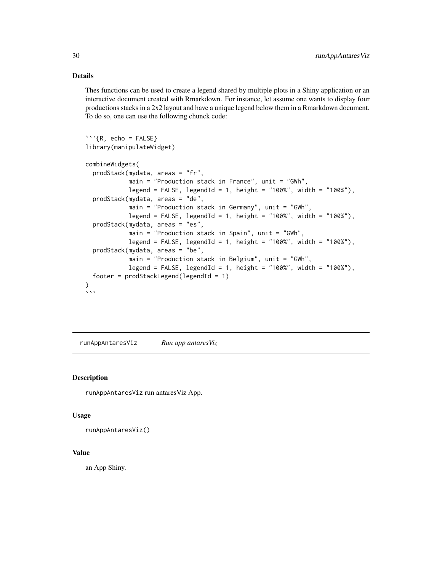## <span id="page-29-0"></span>Details

Thes functions can be used to create a legend shared by multiple plots in a Shiny application or an interactive document created with Rmarkdown. For instance, let assume one wants to display four productions stacks in a 2x2 layout and have a unique legend below them in a Rmarkdown document. To do so, one can use the following chunck code:

```
\cdots{R, echo = FALSE}
library(manipulateWidget)
combineWidgets(
  prodStack(mydata, areas = "fr",
            main = "Production stack in France", unit = "GWh",
            legend = FALSE, legendId = 1, height = "100%", width = "100%"),
  prodStack(mydata, areas = "de",
            main = "Production stack in Germany", unit = "GWh",
            legend = FALSE, legendId = 1, height = "100%", width = "100%"),
  prodStack(mydata, areas = "es",
            main = "Production stack in Spain", unit = "GWh",
            legend = FALSE, legendId = 1, height = "100%", width = "100%"),
  prodStack(mydata, areas = "be",
            main = "Production stack in Belgium", unit = "GWh",
            legend = FALSE, legendId = 1, height = "100%", width = "100%"),
  footer = prodStackLegend(legendId = 1)
)
\ddot{\phantom{a}}
```
runAppAntaresViz *Run app antaresViz*

## **Description**

runAppAntaresViz run antaresViz App.

#### Usage

runAppAntaresViz()

#### Value

an App Shiny.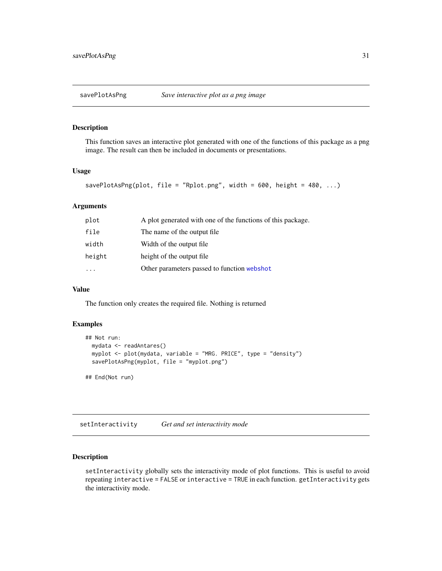<span id="page-30-0"></span>

## Description

This function saves an interactive plot generated with one of the functions of this package as a png image. The result can then be included in documents or presentations.

#### Usage

```
savePlotAsPng(plot, file = "Rplot.png", width = 600, height = 480, ...)
```
## Arguments

| plot   | A plot generated with one of the functions of this package. |
|--------|-------------------------------------------------------------|
| file   | The name of the output file.                                |
| width  | Width of the output file.                                   |
| height | height of the output file.                                  |
|        | Other parameters passed to function webshot                 |
|        |                                                             |

## Value

The function only creates the required file. Nothing is returned

## Examples

```
## Not run:
 mydata <- readAntares()
 myplot <- plot(mydata, variable = "MRG. PRICE", type = "density")
 savePlotAsPng(myplot, file = "myplot.png")
```
## End(Not run)

setInteractivity *Get and set interactivity mode*

## Description

setInteractivity globally sets the interactivity mode of plot functions. This is useful to avoid repeating interactive = FALSE or interactive = TRUE in each function. getInteractivity gets the interactivity mode.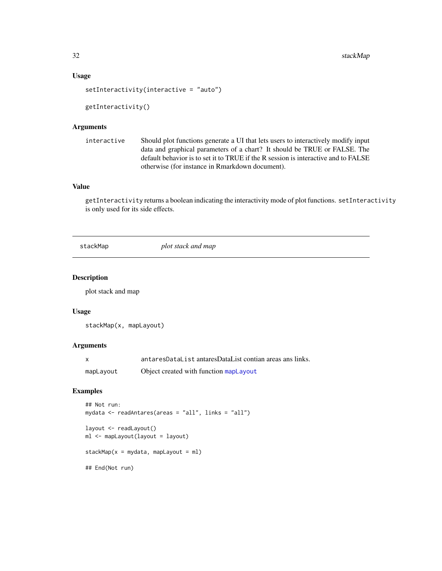#### <span id="page-31-0"></span>Usage

```
setInteractivity(interactive = "auto")
```

```
getInteractivity()
```
## Arguments

```
interactive Should plot functions generate a UI that lets users to interactively modify input
                  data and graphical parameters of a chart? It should be TRUE or FALSE. The
                  default behavior is to set it to TRUE if the R session is interactive and to FALSE
                  otherwise (for instance in Rmarkdown document).
```
## Value

getInteractivity returns a boolean indicating the interactivity mode of plot functions. setInteractivity is only used for its side effects.

stackMap *plot stack and map*

#### Description

plot stack and map

#### Usage

```
stackMap(x, mapLayout)
```
## Arguments

|           | antaresDataList antaresDataList contian areas ans links. |
|-----------|----------------------------------------------------------|
| mapLayout | Object created with function mapLayout                   |

#### Examples

```
## Not run:
mydata <- readAntares(areas = "all", links = "all")
layout <- readLayout()
ml <- mapLayout(layout = layout)
stackMap(x = mydata, mapLayout = ml)
## End(Not run)
```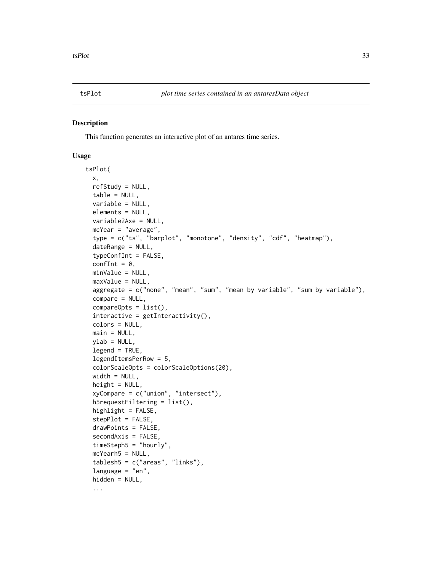<span id="page-32-0"></span>

#### Description

This function generates an interactive plot of an antares time series.

#### Usage

```
tsPlot(
  x,
 refStudy = NULL,
  table = NULL,
 variable = NULL,
 elements = NULL,
  variable2Axe = NULL,
 mcYear = "average",
  type = c("ts", "barplot", "monotone", "density", "cdf", "heatmap"),
  dateRange = NULL,
  typeConfInt = FALSE,
  confInt = 0,
 minValue = NULL,
 maxValue = NULL,
  aggregate = c("none", "mean", "sum", "mean by variable", "sum by variable"),
 compare = NULL,
  compareOpts = list(),
  interactive = getInteractivity(),colors = NULL,
 main = NULL,ylab = NULL,legend = TRUE,
  legendItemsPerRow = 5,
  colorScaleOpts = colorScaleOptions(20),
  width = NULL,height = NULL,xyCompare = c("union", "intersect"),h5requestFiltering = list(),
  highlight = FALSE,stepPlot = FALSE,
  drawPoints = FALSE,
  secondAxis = FALSE,
  timeStep 5 = "hourly".mcYearh5 = NULL,
  tablesh5 = c("areas", "links"),
  language = "en",hidden = NULL,...
```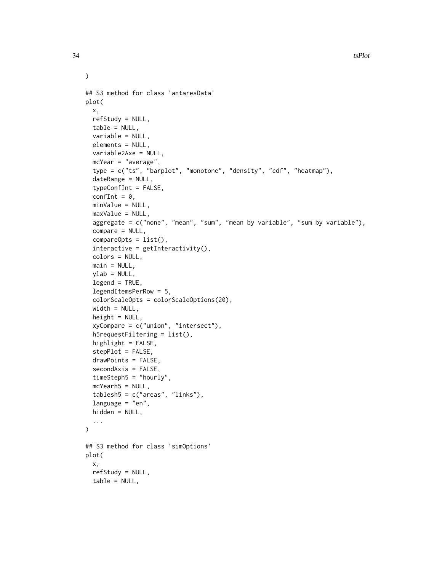```
## S3 method for class 'antaresData'
plot(
 x,
 refStudy = NULL,
  table = NULL,
  variable = NULL,
  elements = NULL,
  variable2Axe = NULL,
  mcYear = "average",
  type = c("ts", "barplot", "monotone", "density", "cdf", "heatmap"),
  dateRange = NULL,
  typeConfInt = FALSE,
  confInt = 0,
  minValue = NULL,
  maxValue = NULL,
  aggregate = c("none", "mean", "sum", "mean by variable", "sum by variable"),
  compare = NULL,
  compareOpts = list(),
  interactive = getInteractivity(),
  colors = NULL,
  main = NULL,ylab = NULL,
  legend = TRUE,legendItemsPerRow = 5,
  colorScaleOpts = colorScaleOptions(20),
  width = NULL,
  height = NULL,xyCompare = c("union", "intersect"),
  h5requestFiltering = list(),
  highlight = FALSE,
  stepPlot = FALSE,
  drawPoints = FALSE,
  secondAxis = FALSE,
  timeSteph5 = "hourly",
  mcYearh5 = NULL,
  tablesh5 = c("areas", "links"),language = "en",hidden = NULL,
  ...
\lambda## S3 method for class 'simOptions'
plot(
  x,
  refStudy = NULL,
  table = NULL,
```
 $\mathcal{L}$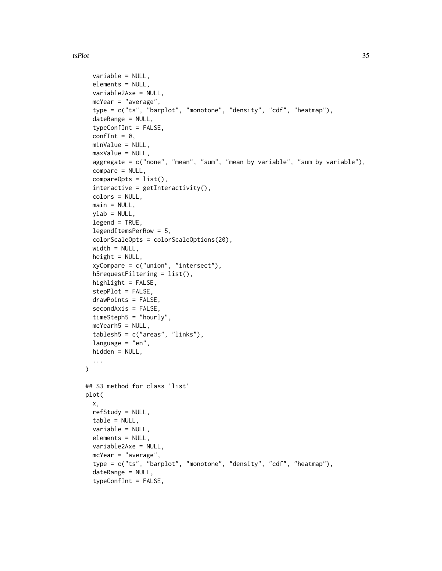#### tsPlot 35

```
variable = NULL,
  elements = NULL,
  variable2Axe = NULL,
  mcYear = "average",
  type = c("ts", "barplot", "monotone", "density", "cdf", "heatmap"),
  dateRange = NULL,
  typeConfInt = FALSE,confInt = 0,
  minValue = NULL,
  maxValue = NULL,
  aggregate = c("none", "mean", "sum", "mean by variable", "sum by variable"),
  compare = NULL,
  compareOpts = list(),
  interactive = getInteractivity(),
  colors = NULL,
  main = NULL,ylab = NULL,legend = TRUE,
  legendItemsPerRow = 5,
  colorScaleOpts = colorScaleOptions(20),
  width = NULL,height = NULL,xyCompare = c("union", "intersect"),
  h5requestFiltering = list(),
  highlight = FALSE,
  stepPlot = FALSE,
  drawPoints = FALSE,
  secondAxis = FALSE,
  timeSteph5 = "hourly",
 mcYearh5 = NULL,tablesh5 = c("areas", "links"),
  language = "en",hidden = NULL,
  ...
\mathcal{L}## S3 method for class 'list'
plot(
  x,
 refStudy = NULL,
  table = NULL,variable = NULL,
  elements = NULL,
  variable2Axe = NULL,
  mcYear = "average",
  type = c("ts", "barplot", "monotone", "density", "cdf", "heatmap"),
  dateRange = NULL,
  typeConfInt = FALSE,
```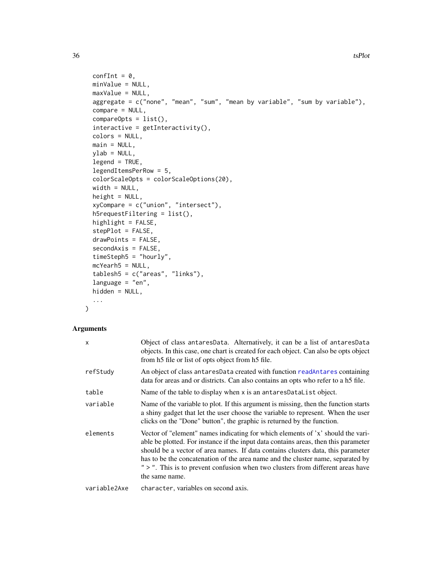```
confInt = 0,
 minValue = NULL,
 maxValue = NULL,
 aggregate = c("none", "mean", "sum", "mean by variable", "sum by variable"),
  compare = NULL,
  compareOpts = list(),
  interactive = getInteractivity(),colors = NULL,
 main = NULL,ylab = NULL,
 legend = TRUE,
 legendItemsPerRow = 5,
 colorScaleOpts = colorScaleOptions(20),
 width = NULL,height = NULL,xyCompare = c("union", "intersect"),
  h5requestFiltering = list(),
 highlight = FALSE,
 stepPlot = FALSE,
  drawPoints = FALSE,
  secondAxis = FALSE,
 timeSteph5 = "hourly",
 mcYearh5 = NULL,
  tablesh5 = c("areas", "links"),
 language = "en",hidden = NULL,
  ...
\mathcal{L}
```
## Arguments

| x            | Object of class antaresData. Alternatively, it can be a list of antaresData<br>objects. In this case, one chart is created for each object. Can also be opts object<br>from h5 file or list of opts object from h5 file.                                                                                                                                                                                                                           |
|--------------|----------------------------------------------------------------------------------------------------------------------------------------------------------------------------------------------------------------------------------------------------------------------------------------------------------------------------------------------------------------------------------------------------------------------------------------------------|
| refStudy     | An object of class antares Data created with function readantares containing<br>data for areas and or districts. Can also contains an opts who refer to a h5 file.                                                                                                                                                                                                                                                                                 |
| table        | Name of the table to display when x is an antaresDataList object.                                                                                                                                                                                                                                                                                                                                                                                  |
| variable     | Name of the variable to plot. If this argument is missing, then the function starts<br>a shiny gadget that let the user choose the variable to represent. When the user<br>clicks on the "Done" button", the graphic is returned by the function.                                                                                                                                                                                                  |
| elements     | Vector of "element" names indicating for which elements of 'x' should the vari-<br>able be plotted. For instance if the input data contains areas, then this parameter<br>should be a vector of area names. If data contains clusters data, this parameter<br>has to be the concatenation of the area name and the cluster name, separated by<br>" > ". This is to prevent confusion when two clusters from different areas have<br>the same name. |
| variable2Axe | character, variables on second axis.                                                                                                                                                                                                                                                                                                                                                                                                               |

<span id="page-35-0"></span>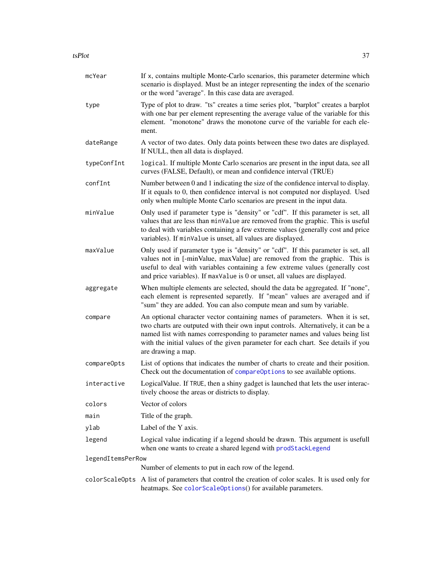#### <span id="page-36-0"></span>tsPlot 37

| mcYear            | If x, contains multiple Monte-Carlo scenarios, this parameter determine which<br>scenario is displayed. Must be an integer representing the index of the scenario<br>or the word "average". In this case data are averaged.                                                                                                                                  |
|-------------------|--------------------------------------------------------------------------------------------------------------------------------------------------------------------------------------------------------------------------------------------------------------------------------------------------------------------------------------------------------------|
| type              | Type of plot to draw. "ts" creates a time series plot, "barplot" creates a barplot<br>with one bar per element representing the average value of the variable for this<br>element. "monotone" draws the monotone curve of the variable for each ele-<br>ment.                                                                                                |
| dateRange         | A vector of two dates. Only data points between these two dates are displayed.<br>If NULL, then all data is displayed.                                                                                                                                                                                                                                       |
| typeConfInt       | logical. If multiple Monte Carlo scenarios are present in the input data, see all<br>curves (FALSE, Default), or mean and confidence interval (TRUE)                                                                                                                                                                                                         |
| confInt           | Number between 0 and 1 indicating the size of the confidence interval to display.<br>If it equals to 0, then confidence interval is not computed nor displayed. Used<br>only when multiple Monte Carlo scenarios are present in the input data.                                                                                                              |
| minValue          | Only used if parameter type is "density" or "cdf". If this parameter is set, all<br>values that are less than minValue are removed from the graphic. This is useful<br>to deal with variables containing a few extreme values (generally cost and price<br>variables). If minValue is unset, all values are displayed.                                       |
| maxValue          | Only used if parameter type is "density" or "cdf". If this parameter is set, all<br>values not in [-minValue, maxValue] are removed from the graphic. This is<br>useful to deal with variables containing a few extreme values (generally cost<br>and price variables). If maxValue is 0 or unset, all values are displayed.                                 |
| aggregate         | When multiple elements are selected, should the data be aggregated. If "none",<br>each element is represented separetly. If "mean" values are averaged and if<br>"sum" they are added. You can also compute mean and sum by variable.                                                                                                                        |
| compare           | An optional character vector containing names of parameters. When it is set,<br>two charts are outputed with their own input controls. Alternatively, it can be a<br>named list with names corresponding to parameter names and values being list<br>with the initial values of the given parameter for each chart. See details if you<br>are drawing a map. |
| compareOpts       | List of options that indicates the number of charts to create and their position.<br>Check out the documentation of compareOptions to see available options.                                                                                                                                                                                                 |
| interactive       | Logical Value. If TRUE, then a shiny gadget is launched that lets the user interac-<br>tively choose the areas or districts to display.                                                                                                                                                                                                                      |
| colors            | Vector of colors                                                                                                                                                                                                                                                                                                                                             |
| main              | Title of the graph.                                                                                                                                                                                                                                                                                                                                          |
| ylab              | Label of the Y axis.                                                                                                                                                                                                                                                                                                                                         |
| legend            | Logical value indicating if a legend should be drawn. This argument is usefull<br>when one wants to create a shared legend with prodStackLegend                                                                                                                                                                                                              |
| legendItemsPerRow |                                                                                                                                                                                                                                                                                                                                                              |
|                   | Number of elements to put in each row of the legend.                                                                                                                                                                                                                                                                                                         |
| colorScaleOpts    | A list of parameters that control the creation of color scales. It is used only for<br>heatmaps. See colorScaleOptions() for available parameters.                                                                                                                                                                                                           |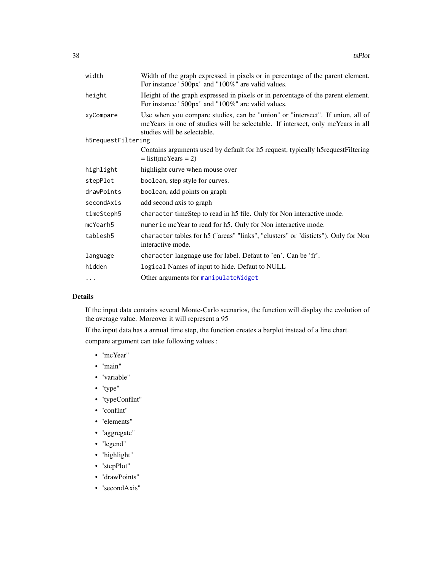<span id="page-37-0"></span>

| Width of the graph expressed in pixels or in percentage of the parent element.<br>For instance "500px" and "100%" are valid values.                                                             |
|-------------------------------------------------------------------------------------------------------------------------------------------------------------------------------------------------|
| Height of the graph expressed in pixels or in percentage of the parent element.<br>For instance "500px" and "100%" are valid values.                                                            |
| Use when you compare studies, can be "union" or "intersect". If union, all of<br>mcYears in one of studies will be selectable. If intersect, only mcYears in all<br>studies will be selectable. |
| h5requestFiltering                                                                                                                                                                              |
| Contains arguments used by default for h5 request, typically h5 request Filtering<br>$=$ list(mcYears = 2)                                                                                      |
| highlight curve when mouse over                                                                                                                                                                 |
| boolean, step style for curves.                                                                                                                                                                 |
| boolean, add points on graph                                                                                                                                                                    |
| add second axis to graph                                                                                                                                                                        |
| character timeStep to read in h5 file. Only for Non interactive mode.                                                                                                                           |
| numeric mcYear to read for h5. Only for Non interactive mode.                                                                                                                                   |
| character tables for h5 ("areas" "links", "clusters" or "disticts"). Only for Non<br>interactive mode.                                                                                          |
| character language use for label. Defaut to 'en'. Can be 'fr'.                                                                                                                                  |
| logical Names of input to hide. Defaut to NULL                                                                                                                                                  |
| Other arguments for manipulateWidget                                                                                                                                                            |
|                                                                                                                                                                                                 |

## Details

If the input data contains several Monte-Carlo scenarios, the function will display the evolution of the average value. Moreover it will represent a 95

If the input data has a annual time step, the function creates a barplot instead of a line chart. compare argument can take following values :

- "mcYear"
- "main"
- "variable"
- "type"
- "typeConfInt"
- "confInt"
- "elements"
- "aggregate"
- "legend"
- "highlight"
- "stepPlot"
- "drawPoints"
- "secondAxis"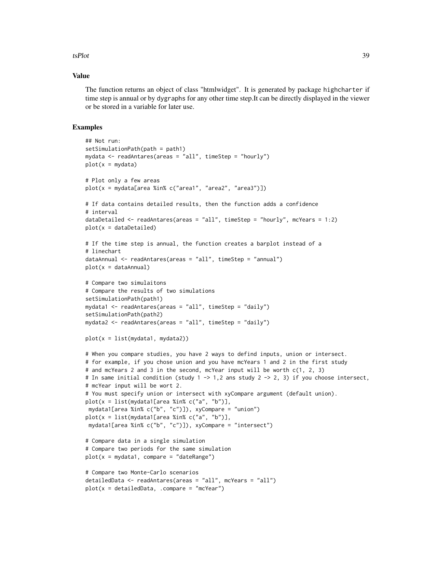#### tsPlot 39

#### Value

The function returns an object of class "htmlwidget". It is generated by package highcharter if time step is annual or by dygraphs for any other time step.It can be directly displayed in the viewer or be stored in a variable for later use.

#### Examples

```
## Not run:
setSimulationPath(path = path1)
mydata \leq readAntares(areas = "all", timeStep = "hourly")
plot(x = mydata)# Plot only a few areas
plot(x = mydata[area %in% c("area1", "area2", "area3")])
# If data contains detailed results, then the function adds a confidence
# interval
dataDetailed <- readAntares(areas = "all", timeStep = "hourly", mcYears = 1:2)
plot(x = dataDet)# If the time step is annual, the function creates a barplot instead of a
# linechart
dataAnnual <- readAntares(areas = "all", timeStep = "annual")
plot(x = dataAnnual)# Compare two simulaitons
# Compare the results of two simulations
setSimulationPath(path1)
mydata1 <- readAntares(areas = "all", timeStep = "daily")
setSimulationPath(path2)
mydata2 <- readAntares(areas = "all", timeStep = "daily")
plot(x = list(mydata1, mydata2))# When you compare studies, you have 2 ways to defind inputs, union or intersect.
# for example, if you chose union and you have mcYears 1 and 2 in the first study
# and mcYears 2 and 3 in the second, mcYear input will be worth c(1, 2, 3)
# In same initial condition (study 1 -> 1,2 ans study 2 -> 2, 3) if you choose intersect,
# mcYear input will be wort 2.
# You must specify union or intersect with xyCompare argument (default union).
plot(x = list(mydata1[area %in% c("a", "b")],
mydata1[area %in% c("b", "c")]), xyCompare = "union")
plot(x = list(mydata1[area %in% c("a", "b")],
mydata1[area %in% c("b", "c")]), xyCompare = "intersect")
# Compare data in a single simulation
# Compare two periods for the same simulation
plot(x = mydata1, compare = "dateRange")# Compare two Monte-Carlo scenarios
detailedData <- readAntares(areas = "all", mcYears = "all")
plot(x = detailedData, .compare = "mcYear")
```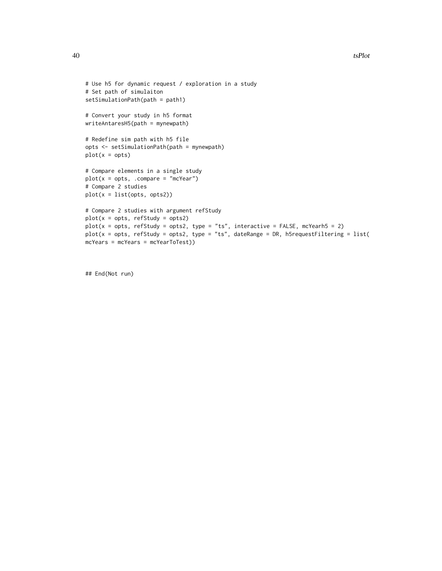```
# Use h5 for dynamic request / exploration in a study
# Set path of simulaiton
setSimulationPath(path = path1)
# Convert your study in h5 format
writeAntaresH5(path = mynewpath)
# Redefine sim path with h5 file
opts <- setSimulationPath(path = mynewpath)
plot(x = opts)# Compare elements in a single study
plot(x = opts, .compare = "mcYear")# Compare 2 studies
plot(x = list(opts, opts2))
# Compare 2 studies with argument refStudy
plot(x = opts, refStudy = opts2)plot(x = opts, refStudy = opts2, type = "ts", interactive = FALSE, mcYearh5 = 2)plot(x = opts, refStudy = opts2, type = "ts", dateRange = DR, h5requestFiltering = list(mcYears = mcYears = mcYearToTest))
```
## End(Not run)